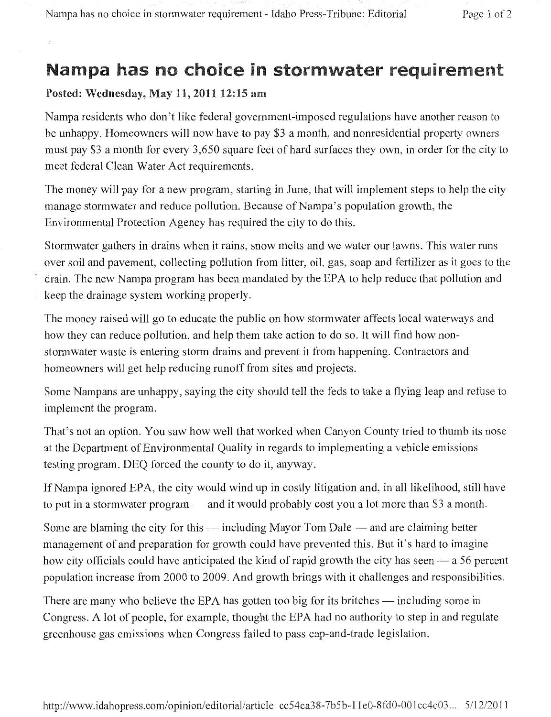## Nampa has no choice in stormwater requirement

## Posted: Wednesday, May 11, 2011 12:15 am

Nampa residents who don't like federal government-imposed regulations have another reason to be unhappy. Homeowners will now have to pay \$3 a month, and nonresidential property owners must pay \$3 a month for every 3,650 square feet of hard surfaces they own, in order for the city to meet federal Clean Water Act requirements.

The money will pay for a new program, starting in June, that will implement steps to help the city manage stormwater and reduce pollution. Because of Nampa's population growth, the Environmental Protection Agency has required the city to do this.

Stormwater gathers in drains when it rains, snow melts and we water our lawns. This water runs over soil and pavement, collecting pollution from litter, oil, gas, soap and fertilizer as it goes to the drain. The new Nampa program has been mandated by the EPA to help reduce that pollution and keep the drainage system working properly.

The money raised will go to educate the public on how stormwater affects local waterways and how they can reduce pollution, and help them take action to do so. It will find how nonstormwater waste is entering storm drains and prevent it from happening. Contractors and homeowners will get help reducing runoff from sites and projects.

Some Nampans are unhappy, saying the city should tell the feds to take a flying leap and refuse to implement the program.

That's not an option. You saw how well that worked when Canyon County tried to thumb its nose at the Department of Environmental Quality in regards to implementing a vehicle emissions testing program. DEQ forced the county to do it, anyway.

IfNampa ignored EPA, the city would wind up in costly litigation and, in all likelihood, still have to put in a stormwater program — and it would probably cost you a lot more than \$3 a month.

Some are blaming the city for this — including Mayor Tom Dale — and are claiming better management of and preparation for growth could have prevented this. But it's hard to imagine how city officials could have anticipated the kind of rapid growth the city has seen  $-$  a 56 percent population increase from 2000 to 2009. And growth brings with it challenges and responsibilities.

There are many who believe the EPA has gotten too big for its britches — including some in Congress. A lot of people, for example, thought the EPA had no authority to step in and regulate greenhouse gas emissions when Congress failed to pass cap-and-trade legislation.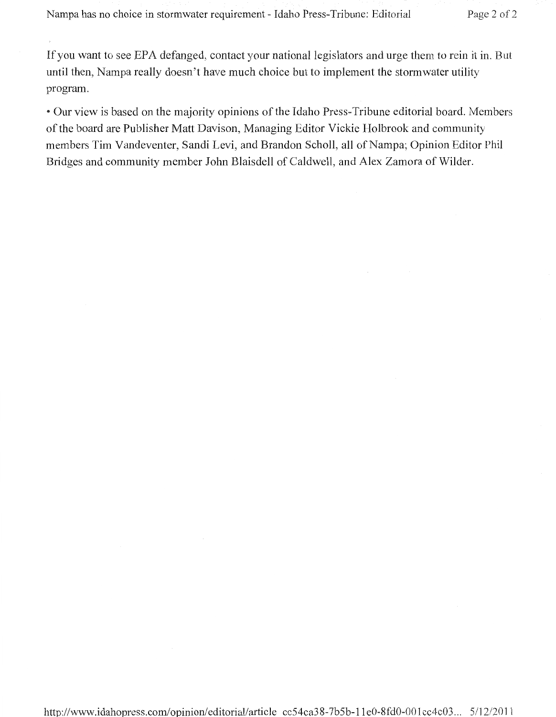If you want to see EPA defanged, contact your national legislators and urge them to rein it in. But until then, Nampa really doesn't have much choice but to implement the stormwater utility program.

• Our view is based on the majority opinions of the Idaho Press-Tribune editorial board. Members of the board are Publisher Matt Davison, Managing Editor Vickie Holbrook and community members Tim Vandeventer, Sandi Levi, and Brandon Scholl, all of Nampa; Opinion Editor Phil Bridges and community member John Blaisdell of Caldwell, and Alex Zamora of Wilder.